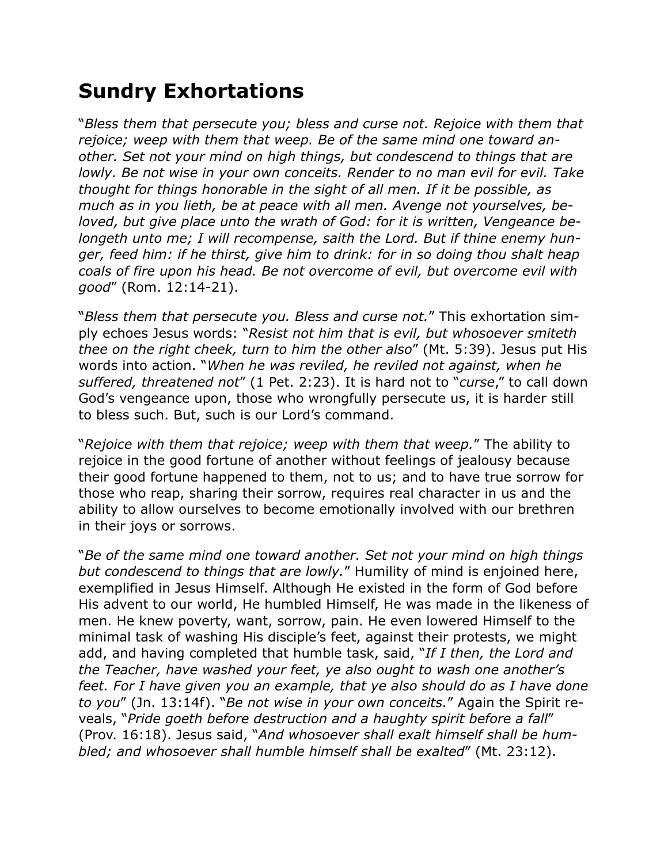## **Sundry Exhortations**

"*Bless them that persecute you; bless and curse not. Rejoice with them that rejoice; weep with them that weep. Be of the same mind one toward another. Set not your mind on high things, but condescend to things that are lowly. Be not wise in your own conceits. Render to no man evil for evil. Take thought for things honorable in the sight of all men. If it be possible, as much as in you lieth, be at peace with all men. Avenge not yourselves, beloved, but give place unto the wrath of God: for it is written, Vengeance belongeth unto me; I will recompense, saith the Lord. But if thine enemy hunger, feed him: if he thirst, give him to drink: for in so doing thou shalt heap coals of fire upon his head. Be not overcome of evil, but overcome evil with good*" (Rom. 12:14-21).

"*Bless them that persecute you. Bless and curse not.*" This exhortation simply echoes Jesus words: "*Resist not him that is evil, but whosoever smiteth thee on the right cheek, turn to him the other also*" (Mt. 5:39). Jesus put His words into action. "*When he was reviled, he reviled not against, when he suffered, threatened not*" (1 Pet. 2:23). It is hard not to "*curse*," to call down God's vengeance upon, those who wrongfully persecute us, it is harder still to bless such. But, such is our Lord's command.

"*Rejoice with them that rejoice; weep with them that weep.*" The ability to rejoice in the good fortune of another without feelings of jealousy because their good fortune happened to them, not to us; and to have true sorrow for those who reap, sharing their sorrow, requires real character in us and the ability to allow ourselves to become emotionally involved with our brethren in their joys or sorrows.

"*Be of the same mind one toward another. Set not your mind on high things but condescend to things that are lowly.*" Humility of mind is enjoined here, exemplified in Jesus Himself. Although He existed in the form of God before His advent to our world, He humbled Himself, He was made in the likeness of men. He knew poverty, want, sorrow, pain. He even lowered Himself to the minimal task of washing His disciple's feet, against their protests, we might add, and having completed that humble task, said, "*If I then, the Lord and the Teacher, have washed your feet, ye also ought to wash one another's feet. For I have given you an example, that ye also should do as I have done to you*" (Jn. 13:14f). "*Be not wise in your own conceits.*" Again the Spirit reveals, "*Pride goeth before destruction and a haughty spirit before a fall*" (Prov. 16:18). Jesus said, "*And whosoever shall exalt himself shall be humbled; and whosoever shall humble himself shall be exalted*" (Mt. 23:12).